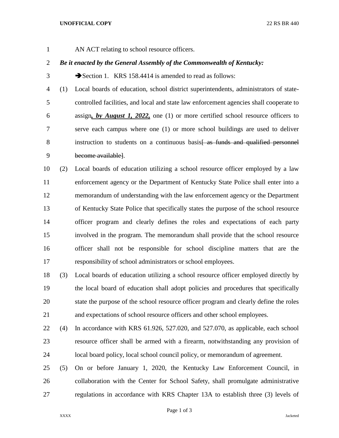AN ACT relating to school resource officers.

## *Be it enacted by the General Assembly of the Commonwealth of Kentucky:*

3 Section 1. KRS 158.4414 is amended to read as follows:

 (1) Local boards of education, school district superintendents, administrators of state- controlled facilities, and local and state law enforcement agencies shall cooperate to assign*, by August 1, 2022,* one (1) or more certified school resource officers to serve each campus where one (1) or more school buildings are used to deliver 8 instruction to students on a continuous basis as funds and qualified personnel become available].

 (2) Local boards of education utilizing a school resource officer employed by a law enforcement agency or the Department of Kentucky State Police shall enter into a memorandum of understanding with the law enforcement agency or the Department of Kentucky State Police that specifically states the purpose of the school resource officer program and clearly defines the roles and expectations of each party involved in the program. The memorandum shall provide that the school resource officer shall not be responsible for school discipline matters that are the responsibility of school administrators or school employees.

 (3) Local boards of education utilizing a school resource officer employed directly by the local board of education shall adopt policies and procedures that specifically state the purpose of the school resource officer program and clearly define the roles and expectations of school resource officers and other school employees.

- (4) In accordance with KRS 61.926, 527.020, and 527.070, as applicable, each school resource officer shall be armed with a firearm, notwithstanding any provision of local board policy, local school council policy, or memorandum of agreement.
- (5) On or before January 1, 2020, the Kentucky Law Enforcement Council, in collaboration with the Center for School Safety, shall promulgate administrative regulations in accordance with KRS Chapter 13A to establish three (3) levels of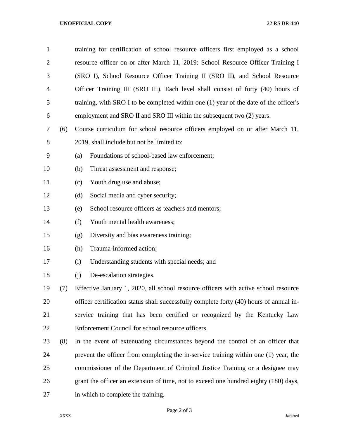| $\mathbf{1}$   |     | training for certification of school resource officers first employed as a school       |                                                   |  |
|----------------|-----|-----------------------------------------------------------------------------------------|---------------------------------------------------|--|
| $\overline{2}$ |     | resource officer on or after March 11, 2019: School Resource Officer Training I         |                                                   |  |
| 3              |     | (SRO I), School Resource Officer Training II (SRO II), and School Resource              |                                                   |  |
| 4              |     | Officer Training III (SRO III). Each level shall consist of forty (40) hours of         |                                                   |  |
| 5              |     | training, with SRO I to be completed within one (1) year of the date of the officer's   |                                                   |  |
| 6              |     | employment and SRO II and SRO III within the subsequent two (2) years.                  |                                                   |  |
| 7              | (6) | Course curriculum for school resource officers employed on or after March 11,           |                                                   |  |
| 8              |     | 2019, shall include but not be limited to:                                              |                                                   |  |
| 9              |     | (a)                                                                                     | Foundations of school-based law enforcement;      |  |
| 10             |     | (b)                                                                                     | Threat assessment and response;                   |  |
| 11             |     | (c)                                                                                     | Youth drug use and abuse;                         |  |
| 12             |     | (d)                                                                                     | Social media and cyber security;                  |  |
| 13             |     | (e)                                                                                     | School resource officers as teachers and mentors; |  |
| 14             |     | (f)                                                                                     | Youth mental health awareness;                    |  |
| 15             |     | (g)                                                                                     | Diversity and bias awareness training;            |  |
| 16             |     | (h)                                                                                     | Trauma-informed action;                           |  |
| 17             |     | (i)                                                                                     | Understanding students with special needs; and    |  |
| 18             |     | (i)                                                                                     | De-escalation strategies.                         |  |
| 19             | (7) | Effective January 1, 2020, all school resource officers with active school resource     |                                                   |  |
| 20             |     | officer certification status shall successfully complete forty (40) hours of annual in- |                                                   |  |
| 21             |     | service training that has been certified or recognized by the Kentucky Law              |                                                   |  |
| 22             |     | Enforcement Council for school resource officers.                                       |                                                   |  |
| 23             | (8) | In the event of extenuating circumstances beyond the control of an officer that         |                                                   |  |
| 24             |     | prevent the officer from completing the in-service training within one (1) year, the    |                                                   |  |
| 25             |     | commissioner of the Department of Criminal Justice Training or a designee may           |                                                   |  |
| 26             |     | grant the officer an extension of time, not to exceed one hundred eighty (180) days,    |                                                   |  |
| 27             |     | in which to complete the training.                                                      |                                                   |  |

Page 2 of 3